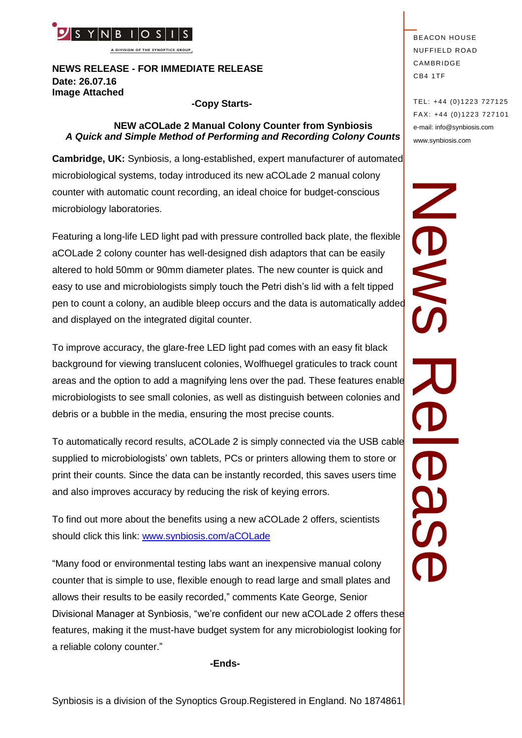

**A DIVISION OF THE SYNOPTICS GROUP**

# **NEWS RELEASE - FOR IMMEDIATE RELEASE Date: 26.07.16 Image Attached**

#### **-Copy Starts-**

# **NEW aCOLade 2 Manual Colony Counter from Synbiosis**  *A Quick and Simple Method of Performing and Recording Colony Counts*

**Cambridge, UK:** Synbiosis, a long-established, expert manufacturer of automated microbiological systems, today introduced its new aCOLade 2 manual colony counter with automatic count recording, an ideal choice for budget-conscious microbiology laboratories.

**PERICUS THE SYNOPT CONSULTER AND CONSULTER CONSULTER CONSULTER THE SYNOPT CONSULTER THE SYNOPT CONSULTER THE SYNOPT CONSULTER THE SYNOPT CONSULTER THE SYNOPT CONSULTER THE SYNOPT CONSULTER THE SYNOPT CONSULTER CONSULTER T** Featuring a long-life LED light pad with pressure controlled back plate, the flexible aCOLade 2 colony counter has well-designed dish adaptors that can be easily altered to hold 50mm or 90mm diameter plates. The new counter is quick and easy to use and microbiologists simply touch the Petri dish's lid with a felt tipped pen to counter with automatic count recording, an ideal choice for budget-conscious<br>microbiology laboratories.<br>Featuring a long-life LED light pad with pressure controlled back plate, the flexible<br>aCOLade 2 colony counter and displayed on the integrated digital counter.

To improve accuracy, the glare-free LED light pad comes with an easy fit black background for viewing translucent colonies, Wolfhuegel graticules to track count areas and the option to add a magnifying lens over the pad. These features enable microbiologists to see small colonies, as well as distinguish between colonies and debris or a bubble in the media, ensuring the most precise counts.

To automatically record results, aCOLade 2 is simply connected via the USB cable supplied to microbiologists' own tablets, PCs or printers allowing them to store or print their counts. Since the data can be instantly recorded, this saves users time and also improves accuracy by reducing the risk of keying errors.

To find out more about the benefits using a new aCOLade 2 offers, scientists should click this link: [www.synbiosis.com/aCOLade](http://www.synbiosis.com/aCOLade)

"Many food or environmental testing labs want an inexpensive manual colony counter that is simple to use, flexible enough to read large and small plates and allows their results to be easily recorded," comments Kate George, Senior Divisional Manager at Synbiosis, "we're confident our new aCOLade 2 offers these features, making it the must-have budget system for any microbiologist looking for a reliable colony counter."

**-Ends-**

TEL: +44 (0)1223 727125 FA X: +44 (0)1223 727101 e-mail: info@synbiosis.com www.synbiosis.com

News Rease **OBS**